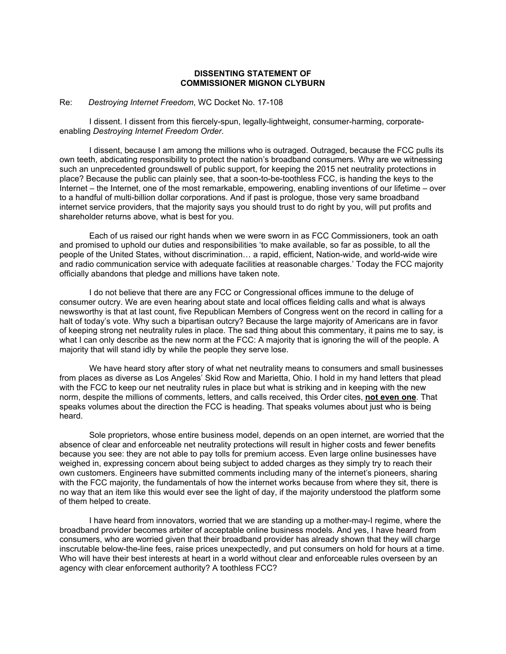## **DISSENTING STATEMENT OF COMMISSIONER MIGNON CLYBURN**

## Re: *Destroying Internet Freedom*, WC Docket No. 17-108

I dissent. I dissent from this fiercely-spun, legally-lightweight, consumer-harming, corporateenabling *Destroying Internet Freedom Order*.

I dissent, because I am among the millions who is outraged. Outraged, because the FCC pulls its own teeth, abdicating responsibility to protect the nation's broadband consumers. Why are we witnessing such an unprecedented groundswell of public support, for keeping the 2015 net neutrality protections in place? Because the public can plainly see, that a soon-to-be-toothless FCC, is handing the keys to the Internet – the Internet, one of the most remarkable, empowering, enabling inventions of our lifetime – over to a handful of multi-billion dollar corporations. And if past is prologue, those very same broadband internet service providers, that the majority says you should trust to do right by you, will put profits and shareholder returns above, what is best for you.

Each of us raised our right hands when we were sworn in as FCC Commissioners, took an oath and promised to uphold our duties and responsibilities 'to make available, so far as possible, to all the people of the United States, without discrimination… a rapid, efficient, Nation-wide, and world-wide wire and radio communication service with adequate facilities at reasonable charges.' Today the FCC majority officially abandons that pledge and millions have taken note.

I do not believe that there are any FCC or Congressional offices immune to the deluge of consumer outcry. We are even hearing about state and local offices fielding calls and what is always newsworthy is that at last count, five Republican Members of Congress went on the record in calling for a halt of today's vote. Why such a bipartisan outcry? Because the large majority of Americans are in favor of keeping strong net neutrality rules in place. The sad thing about this commentary, it pains me to say, is what I can only describe as the new norm at the FCC: A majority that is ignoring the will of the people. A majority that will stand idly by while the people they serve lose.

We have heard story after story of what net neutrality means to consumers and small businesses from places as diverse as Los Angeles' Skid Row and Marietta, Ohio. I hold in my hand letters that plead with the FCC to keep our net neutrality rules in place but what is striking and in keeping with the new norm, despite the millions of comments, letters, and calls received, this Order cites, **not even one**. That speaks volumes about the direction the FCC is heading. That speaks volumes about just who is being heard.

Sole proprietors, whose entire business model, depends on an open internet, are worried that the absence of clear and enforceable net neutrality protections will result in higher costs and fewer benefits because you see: they are not able to pay tolls for premium access. Even large online businesses have weighed in, expressing concern about being subject to added charges as they simply try to reach their own customers. Engineers have submitted comments including many of the internet's pioneers, sharing with the FCC majority, the fundamentals of how the internet works because from where they sit, there is no way that an item like this would ever see the light of day, if the majority understood the platform some of them helped to create.

I have heard from innovators, worried that we are standing up a mother-may-I regime, where the broadband provider becomes arbiter of acceptable online business models. And yes, I have heard from consumers, who are worried given that their broadband provider has already shown that they will charge inscrutable below-the-line fees, raise prices unexpectedly, and put consumers on hold for hours at a time. Who will have their best interests at heart in a world without clear and enforceable rules overseen by an agency with clear enforcement authority? A toothless FCC?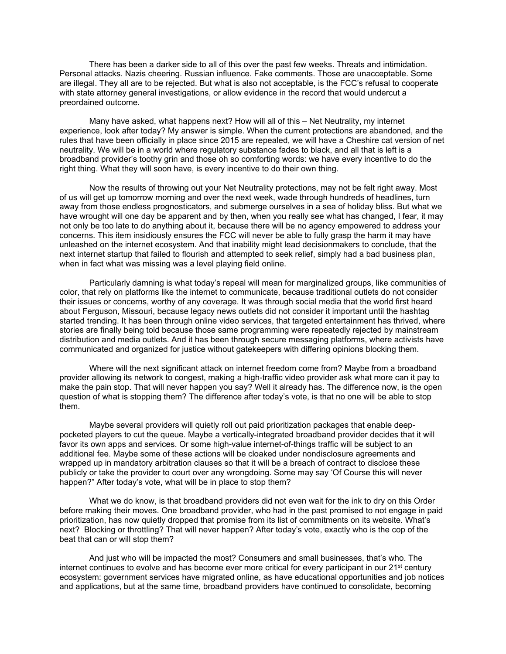There has been a darker side to all of this over the past few weeks. Threats and intimidation. Personal attacks. Nazis cheering. Russian influence. Fake comments. Those are unacceptable. Some are illegal. They all are to be rejected. But what is also not acceptable, is the FCC's refusal to cooperate with state attorney general investigations, or allow evidence in the record that would undercut a preordained outcome.

Many have asked, what happens next? How will all of this – Net Neutrality, my internet experience, look after today? My answer is simple. When the current protections are abandoned, and the rules that have been officially in place since 2015 are repealed, we will have a Cheshire cat version of net neutrality. We will be in a world where regulatory substance fades to black, and all that is left is a broadband provider's toothy grin and those oh so comforting words: we have every incentive to do the right thing. What they will soon have, is every incentive to do their own thing.

Now the results of throwing out your Net Neutrality protections, may not be felt right away. Most of us will get up tomorrow morning and over the next week, wade through hundreds of headlines, turn away from those endless prognosticators, and submerge ourselves in a sea of holiday bliss. But what we have wrought will one day be apparent and by then, when you really see what has changed, I fear, it may not only be too late to do anything about it, because there will be no agency empowered to address your concerns. This item insidiously ensures the FCC will never be able to fully grasp the harm it may have unleashed on the internet ecosystem. And that inability might lead decisionmakers to conclude, that the next internet startup that failed to flourish and attempted to seek relief, simply had a bad business plan, when in fact what was missing was a level playing field online.

Particularly damning is what today's repeal will mean for marginalized groups, like communities of color, that rely on platforms like the internet to communicate, because traditional outlets do not consider their issues or concerns, worthy of any coverage. It was through social media that the world first heard about Ferguson, Missouri, because legacy news outlets did not consider it important until the hashtag started trending. It has been through online video services, that targeted entertainment has thrived, where stories are finally being told because those same programming were repeatedly rejected by mainstream distribution and media outlets. And it has been through secure messaging platforms, where activists have communicated and organized for justice without gatekeepers with differing opinions blocking them.

Where will the next significant attack on internet freedom come from? Maybe from a broadband provider allowing its network to congest, making a high-traffic video provider ask what more can it pay to make the pain stop. That will never happen you say? Well it already has. The difference now, is the open question of what is stopping them? The difference after today's vote, is that no one will be able to stop them.

Maybe several providers will quietly roll out paid prioritization packages that enable deeppocketed players to cut the queue. Maybe a vertically-integrated broadband provider decides that it will favor its own apps and services. Or some high-value internet-of-things traffic will be subject to an additional fee. Maybe some of these actions will be cloaked under nondisclosure agreements and wrapped up in mandatory arbitration clauses so that it will be a breach of contract to disclose these publicly or take the provider to court over any wrongdoing. Some may say 'Of Course this will never happen?" After today's vote, what will be in place to stop them?

What we do know, is that broadband providers did not even wait for the ink to dry on this Order before making their moves. One broadband provider, who had in the past promised to not engage in paid prioritization, has now quietly dropped that promise from its list of commitments on its website. What's next? Blocking or throttling? That will never happen? After today's vote, exactly who is the cop of the beat that can or will stop them?

And just who will be impacted the most? Consumers and small businesses, that's who. The internet continues to evolve and has become ever more critical for every participant in our 21<sup>st</sup> century ecosystem: government services have migrated online, as have educational opportunities and job notices and applications, but at the same time, broadband providers have continued to consolidate, becoming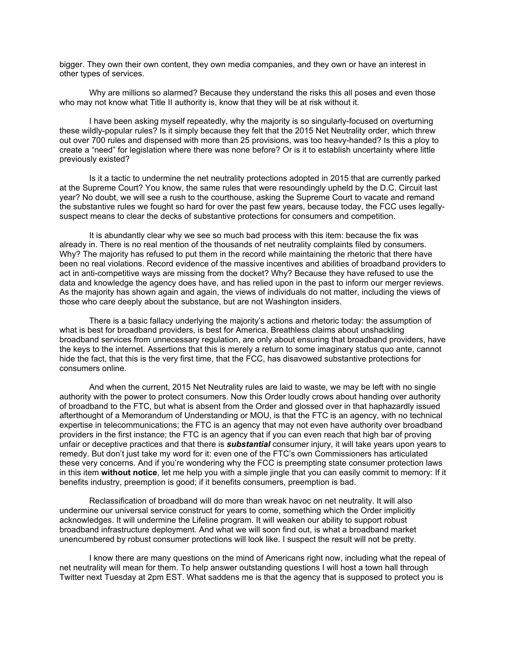bigger. They own their own content, they own media companies, and they own or have an interest in other types of services.

Why are millions so alarmed? Because they understand the risks this all poses and even those who may not know what Title II authority is, know that they will be at risk without it.

I have been asking myself repeatedly, why the majority is so singularly-focused on overturning these wildly-popular rules? Is it simply because they felt that the 2015 Net Neutrality order, which threw out over 700 rules and dispensed with more than 25 provisions, was too heavy-handed? Is this a ploy to create a "need" for legislation where there was none before? Or is it to establish uncertainty where little previously existed?

Is it a tactic to undermine the net neutrality protections adopted in 2015 that are currently parked at the Supreme Court? You know, the same rules that were resoundingly upheld by the D.C. Circuit last year? No doubt, we will see a rush to the courthouse, asking the Supreme Court to vacate and remand the substantive rules we fought so hard for over the past few years, because today, the FCC uses legallysuspect means to clear the decks of substantive protections for consumers and competition.

It is abundantly clear why we see so much bad process with this item: because the fix was already in. There is no real mention of the thousands of net neutrality complaints filed by consumers. Why? The majority has refused to put them in the record while maintaining the rhetoric that there have been no real violations. Record evidence of the massive incentives and abilities of broadband providers to act in anti-competitive ways are missing from the docket? Why? Because they have refused to use the data and knowledge the agency does have, and has relied upon in the past to inform our merger reviews. As the majority has shown again and again, the views of individuals do not matter, including the views of those who care deeply about the substance, but are not Washington insiders.

There is a basic fallacy underlying the majority's actions and rhetoric today: the assumption of what is best for broadband providers, is best for America. Breathless claims about unshackling broadband services from unnecessary regulation, are only about ensuring that broadband providers, have the keys to the internet. Assertions that this is merely a return to some imaginary status quo ante, cannot hide the fact, that this is the very first time, that the FCC, has disavowed substantive protections for consumers online.

And when the current, 2015 Net Neutrality rules are laid to waste, we may be left with no single authority with the power to protect consumers. Now this Order loudly crows about handing over authority of broadband to the FTC, but what is absent from the Order and glossed over in that haphazardly issued afterthought of a Memorandum of Understanding or MOU, is that the FTC is an agency, with no technical expertise in telecommunications; the FTC is an agency that may not even have authority over broadband providers in the first instance; the FTC is an agency that if you can even reach that high bar of proving unfair or deceptive practices and that there is *substantial* consumer injury, it will take years upon years to remedy. But don't just take my word for it: even one of the FTC's own Commissioners has articulated these very concerns. And if you're wondering why the FCC is preempting state consumer protection laws in this item **without notice**, let me help you with a simple jingle that you can easily commit to memory: If it benefits industry, preemption is good; if it benefits consumers, preemption is bad.

Reclassification of broadband will do more than wreak havoc on net neutrality. It will also undermine our universal service construct for years to come, something which the Order implicitly acknowledges. It will undermine the Lifeline program. It will weaken our ability to support robust broadband infrastructure deployment. And what we will soon find out, is what a broadband market unencumbered by robust consumer protections will look like. I suspect the result will not be pretty.

I know there are many questions on the mind of Americans right now, including what the repeal of net neutrality will mean for them. To help answer outstanding questions I will host a town hall through Twitter next Tuesday at 2pm EST. What saddens me is that the agency that is supposed to protect you is